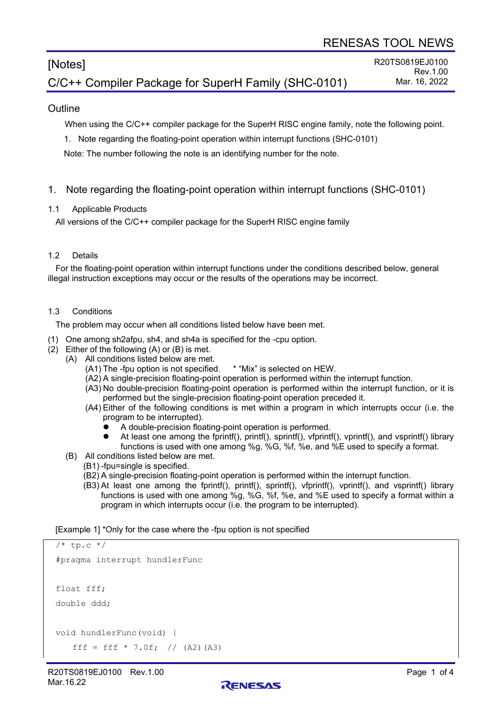# [Notes] C/C++ Compiler Package for SuperH Family (SHC-0101)

### **Outline**

When using the C/C++ compiler package for the SuperH RISC engine family, note the following point.

1. Note regarding the floating-point operation within interrupt functions (SHC-0101)

Note: The number following the note is an identifying number for the note.

- 1. Note regarding the floating-point operation within interrupt functions (SHC-0101)
- 1.1 Applicable Products

All versions of the C/C++ compiler package for the SuperH RISC engine family

#### 1.2 Details

For the floating-point operation within interrupt functions under the conditions described below, general illegal instruction exceptions may occur or the results of the operations may be incorrect.

#### 1.3 Conditions

The problem may occur when all conditions listed below have been met.

- (1) One among sh2afpu, sh4, and sh4a is specified for the -cpu option.
- (2) Either of the following (A) or (B) is met.
	- (A) All conditions listed below are met.
		- (A1) The -fpu option is not specified. \* "Mix" is selected on HEW.
		- (A2) A single-precision floating-point operation is performed within the interrupt function.
		- (A3) No double-precision floating-point operation is performed within the interrupt function, or it is performed but the single-precision floating-point operation preceded it.
		- (A4) Either of the following conditions is met within a program in which interrupts occur (i.e. the program to be interrupted).
			- A double-precision floating-point operation is performed.
			- At least one among the fprintf(), printf(), sprintf(), vfprintf(), vprintf(), and vsprintf() library functions is used with one among %g, %G, %f, %e, and %E used to specify a format.
	- (B) All conditions listed below are met.
		- (B1) -fpu=single is specified.
			- (B2) A single-precision floating-point operation is performed within the interrupt function.
			- (B3) At least one among the fprintf(), printf(), sprintf(), vfprintf(), vprintf(), and vsprintf() library functions is used with one among %g, %G, %f, %e, and %E used to specify a format within a program in which interrupts occur (i.e. the program to be interrupted).

[Example 1] \*Only for the case where the -fpu option is not specified

```
/* tp.c */#pragma interrupt hundlerFunc
float fff;
double ddd;
void hundlerFunc(void) {
   fff = fff * 7.0f; // (A2)(A3)
```
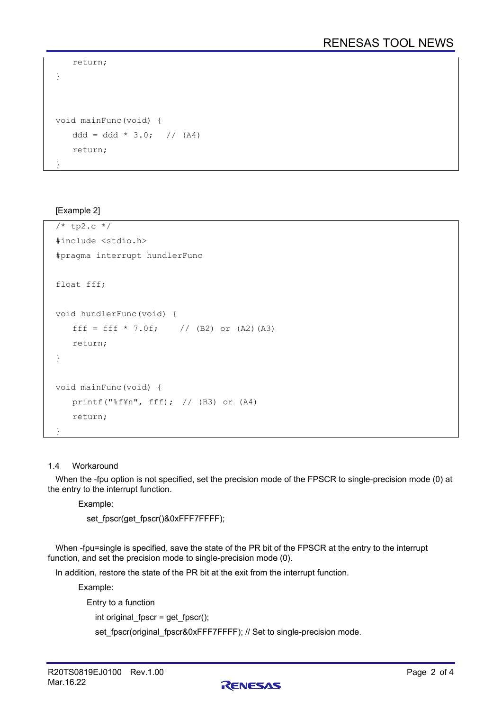```
 return;
}
void mainFunc(void) {
   ddd = ddd * 3.0; // (A4)
    return;
}
```
## [Example 2]

```
/* tp2.c */#include <stdio.h>
#pragma interrupt hundlerFunc
float fff;
void hundlerFunc(void) {
   fff = fff * 7.0f; // (B2) or (A2)(A3)
    return;
}
void mainFunc(void) {
    printf("%f¥n", fff); // (B3) or (A4)
    return;
}
```
### 1.4 Workaround

When the -fpu option is not specified, set the precision mode of the FPSCR to single-precision mode (0) at the entry to the interrupt function.

Example:

set\_fpscr(get\_fpscr()&0xFFF7FFFF);

When -fpu=single is specified, save the state of the PR bit of the FPSCR at the entry to the interrupt function, and set the precision mode to single-precision mode (0).

In addition, restore the state of the PR bit at the exit from the interrupt function.

Example:

Entry to a function

int original\_fpscr = get\_fpscr();

set\_fpscr(original\_fpscr&0xFFF7FFFF); // Set to single-precision mode.

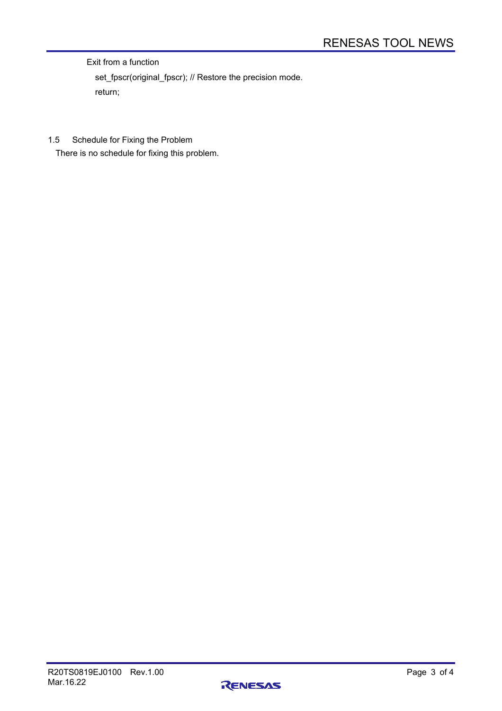Exit from a function

 set\_fpscr(original\_fpscr); // Restore the precision mode. return;

1.5 Schedule for Fixing the Problem

There is no schedule for fixing this problem.